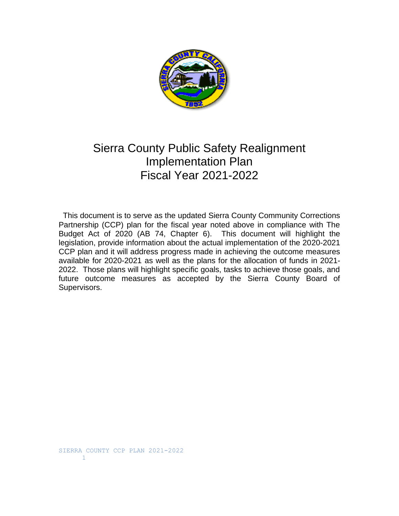

# Sierra County Public Safety Realignment Implementation Plan Fiscal Year 2021-2022

 This document is to serve as the updated Sierra County Community Corrections Partnership (CCP) plan for the fiscal year noted above in compliance with The Budget Act of 2020 (AB 74, Chapter 6). This document will highlight the legislation, provide information about the actual implementation of the 2020-2021 CCP plan and it will address progress made in achieving the outcome measures available for 2020-2021 as well as the plans for the allocation of funds in 2021- 2022. Those plans will highlight specific goals, tasks to achieve those goals, and future outcome measures as accepted by the Sierra County Board of Supervisors.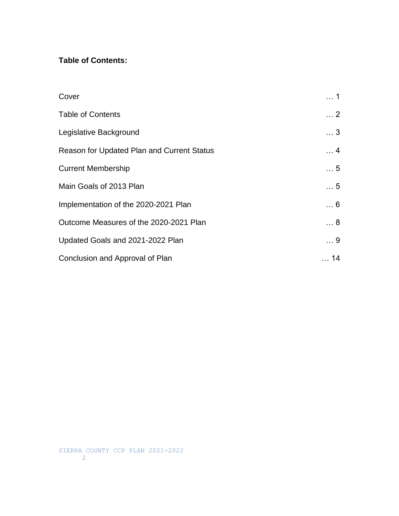## **Table of Contents:**

| Cover                                      | . 1                |
|--------------------------------------------|--------------------|
| <b>Table of Contents</b>                   | $\ldots$ 2         |
| Legislative Background                     | $\dots$ 3          |
| Reason for Updated Plan and Current Status | $\ldots$ 4         |
| <b>Current Membership</b>                  | $\ldots$ 5         |
| Main Goals of 2013 Plan                    | $\ldots$ 5         |
| Implementation of the 2020-2021 Plan       | $\ldots 6$         |
| Outcome Measures of the 2020-2021 Plan     | $\ldots$ 8         |
| Updated Goals and 2021-2022 Plan           | $\ldots$ 9         |
| Conclusion and Approval of Plan            | 14<br>$\mathbf{1}$ |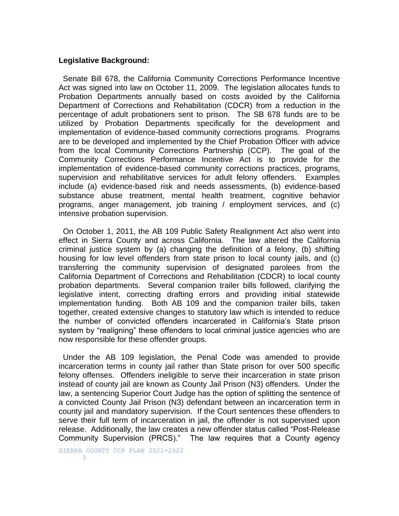### **Legislative Background:**

 Senate Bill 678, the California Community Corrections Performance Incentive Act was signed into law on October 11, 2009. The legislation allocates funds to Probation Departments annually based on costs avoided by the California Department of Corrections and Rehabilitation (CDCR) from a reduction in the percentage of adult probationers sent to prison. The SB 678 funds are to be utilized by Probation Departments specifically for the development and implementation of evidence-based community corrections programs. Programs are to be developed and implemented by the Chief Probation Officer with advice from the local Community Corrections Partnership (CCP). The goal of the Community Corrections Performance Incentive Act is to provide for the implementation of evidence-based community corrections practices, programs, supervision and rehabilitative services for adult felony offenders. Examples include (a) evidence-based risk and needs assessments, (b) evidence-based substance abuse treatment, mental health treatment, cognitive behavior programs, anger management, job training / employment services, and (c) intensive probation supervision.

 On October 1, 2011, the AB 109 Public Safety Realignment Act also went into effect in Sierra County and across California. The law altered the California criminal justice system by (a) changing the definition of a felony, (b) shifting housing for low level offenders from state prison to local county jails, and (c) transferring the community supervision of designated parolees from the California Department of Corrections and Rehabilitation (CDCR) to local county probation departments. Several companion trailer bills followed, clarifying the legislative intent, correcting drafting errors and providing initial statewide implementation funding. Both AB 109 and the companion trailer bills, taken together, created extensive changes to statutory law which is intended to reduce the number of convicted offenders incarcerated in California's State prison system by "realigning" these offenders to local criminal justice agencies who are now responsible for these offender groups.

 Under the AB 109 legislation, the Penal Code was amended to provide incarceration terms in county jail rather than State prison for over 500 specific felony offenses. Offenders ineligible to serve their incarceration in state prison instead of county jail are known as County Jail Prison (N3) offenders. Under the law, a sentencing Superior Court Judge has the option of splitting the sentence of a convicted County Jail Prison (N3) defendant between an incarceration term in county jail and mandatory supervision. If the Court sentences these offenders to serve their full term of incarceration in jail, the offender is not supervised upon release. Additionally, the law creates a new offender status called "Post-Release Community Supervision (PRCS)." The law requires that a County agency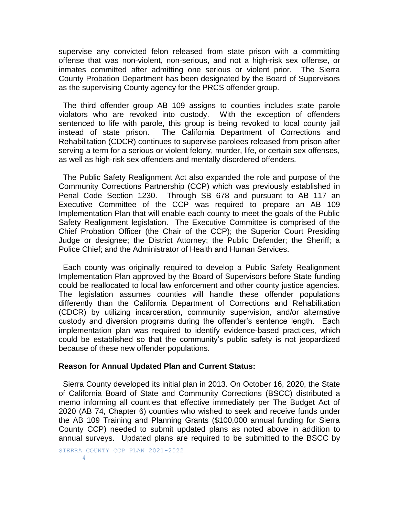supervise any convicted felon released from state prison with a committing offense that was non-violent, non-serious, and not a high-risk sex offense, or inmates committed after admitting one serious or violent prior. The Sierra County Probation Department has been designated by the Board of Supervisors as the supervising County agency for the PRCS offender group.

 The third offender group AB 109 assigns to counties includes state parole violators who are revoked into custody. With the exception of offenders sentenced to life with parole, this group is being revoked to local county jail instead of state prison. The California Department of Corrections and Rehabilitation (CDCR) continues to supervise parolees released from prison after serving a term for a serious or violent felony, murder, life, or certain sex offenses, as well as high-risk sex offenders and mentally disordered offenders.

 The Public Safety Realignment Act also expanded the role and purpose of the Community Corrections Partnership (CCP) which was previously established in Penal Code Section 1230. Through SB 678 and pursuant to AB 117 an Executive Committee of the CCP was required to prepare an AB 109 Implementation Plan that will enable each county to meet the goals of the Public Safety Realignment legislation. The Executive Committee is comprised of the Chief Probation Officer (the Chair of the CCP); the Superior Court Presiding Judge or designee; the District Attorney; the Public Defender; the Sheriff; a Police Chief; and the Administrator of Health and Human Services.

 Each county was originally required to develop a Public Safety Realignment Implementation Plan approved by the Board of Supervisors before State funding could be reallocated to local law enforcement and other county justice agencies. The legislation assumes counties will handle these offender populations differently than the California Department of Corrections and Rehabilitation (CDCR) by utilizing incarceration, community supervision, and/or alternative custody and diversion programs during the offender's sentence length. Each implementation plan was required to identify evidence-based practices, which could be established so that the community's public safety is not jeopardized because of these new offender populations.

#### **Reason for Annual Updated Plan and Current Status:**

 Sierra County developed its initial plan in 2013. On October 16, 2020, the State of California Board of State and Community Corrections (BSCC) distributed a memo informing all counties that effective immediately per The Budget Act of 2020 (AB 74, Chapter 6) counties who wished to seek and receive funds under the AB 109 Training and Planning Grants (\$100,000 annual funding for Sierra County CCP) needed to submit updated plans as noted above in addition to annual surveys. Updated plans are required to be submitted to the BSCC by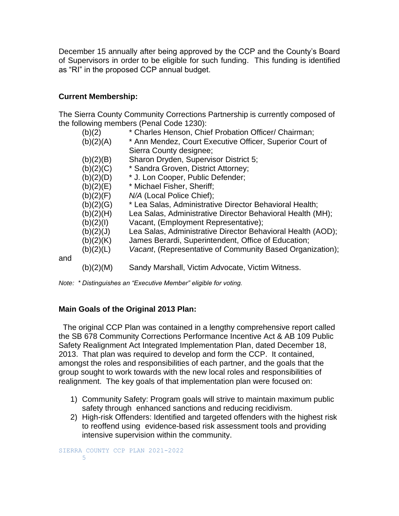December 15 annually after being approved by the CCP and the County's Board of Supervisors in order to be eligible for such funding. This funding is identified as "RI" in the proposed CCP annual budget.

## **Current Membership:**

and

The Sierra County Community Corrections Partnership is currently composed of the following members (Penal Code 1230):

| (b)(2)    | * Charles Henson, Chief Probation Officer/ Chairman;        |
|-----------|-------------------------------------------------------------|
| (b)(2)(A) | * Ann Mendez, Court Executive Officer, Superior Court of    |
|           | Sierra County designee;                                     |
| (b)(2)(B) | Sharon Dryden, Supervisor District 5;                       |
| (b)(2)(C) | * Sandra Groven, District Attorney;                         |
| (b)(2)(D) | * J. Lon Cooper, Public Defender;                           |
| (b)(2)(E) | * Michael Fisher, Sheriff;                                  |
| (b)(2)(F) | N/A (Local Police Chief);                                   |
| (b)(2)(G) | * Lea Salas, Administrative Director Behavioral Health;     |
| (b)(2)(H) | Lea Salas, Administrative Director Behavioral Health (MH);  |
| (b)(2)(1) | Vacant, (Employment Representative);                        |
| (b)(2)(J) | Lea Salas, Administrative Director Behavioral Health (AOD); |
| (b)(2)(K) | James Berardi, Superintendent, Office of Education;         |
| (b)(2)(L) | Vacant, (Representative of Community Based Organization);   |
| (b)(2)(M) | Sandy Marshall, Victim Advocate, Victim Witness.            |

*Note: \* Distinguishes an "Executive Member" eligible for voting.*

## **Main Goals of the Original 2013 Plan:**

 The original CCP Plan was contained in a lengthy comprehensive report called the SB 678 Community Corrections Performance Incentive Act & AB 109 Public Safety Realignment Act Integrated Implementation Plan, dated December 18, 2013. That plan was required to develop and form the CCP. It contained, amongst the roles and responsibilities of each partner, and the goals that the group sought to work towards with the new local roles and responsibilities of realignment. The key goals of that implementation plan were focused on:

- 1) Community Safety: Program goals will strive to maintain maximum public safety through enhanced sanctions and reducing recidivism.
- 2) High-risk Offenders: Identified and targeted offenders with the highest risk to reoffend using evidence-based risk assessment tools and providing intensive supervision within the community.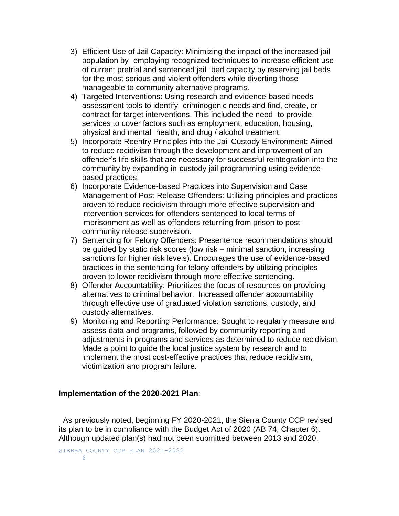- 3) Efficient Use of Jail Capacity: Minimizing the impact of the increased jail population by employing recognized techniques to increase efficient use of current pretrial and sentenced jail bed capacity by reserving jail beds for the most serious and violent offenders while diverting those manageable to community alternative programs.
- 4) Targeted Interventions: Using research and evidence-based needs assessment tools to identify criminogenic needs and find, create, or contract for target interventions. This included the need to provide services to cover factors such as employment, education, housing, physical and mental health, and drug / alcohol treatment.
- 5) Incorporate Reentry Principles into the Jail Custody Environment: Aimed to reduce recidivism through the development and improvement of an offender's life skills that are necessary for successful reintegration into the community by expanding in-custody jail programming using evidencebased practices.
- 6) Incorporate Evidence-based Practices into Supervision and Case Management of Post-Release Offenders: Utilizing principles and practices proven to reduce recidivism through more effective supervision and intervention services for offenders sentenced to local terms of imprisonment as well as offenders returning from prison to postcommunity release supervision.
- 7) Sentencing for Felony Offenders: Presentence recommendations should be guided by static risk scores (low risk – minimal sanction, increasing sanctions for higher risk levels). Encourages the use of evidence-based practices in the sentencing for felony offenders by utilizing principles proven to lower recidivism through more effective sentencing.
- 8) Offender Accountability: Prioritizes the focus of resources on providing alternatives to criminal behavior. Increased offender accountability through effective use of graduated violation sanctions, custody, and custody alternatives.
- 9) Monitoring and Reporting Performance: Sought to regularly measure and assess data and programs, followed by community reporting and adjustments in programs and services as determined to reduce recidivism. Made a point to guide the local justice system by research and to implement the most cost-effective practices that reduce recidivism, victimization and program failure.

### **Implementation of the 2020-2021 Plan**:

 As previously noted, beginning FY 2020-2021, the Sierra County CCP revised its plan to be in compliance with the Budget Act of 2020 (AB 74, Chapter 6). Although updated plan(s) had not been submitted between 2013 and 2020,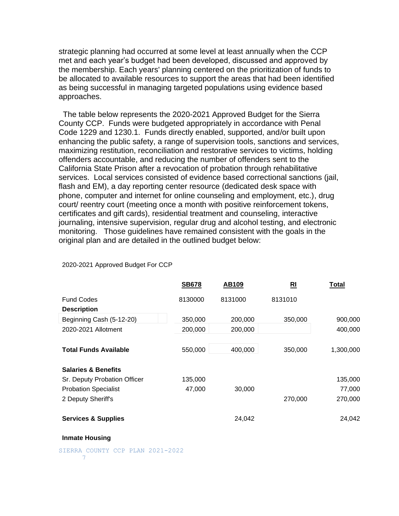strategic planning had occurred at some level at least annually when the CCP met and each year's budget had been developed, discussed and approved by the membership. Each years' planning centered on the prioritization of funds to be allocated to available resources to support the areas that had been identified as being successful in managing targeted populations using evidence based approaches.

 The table below represents the 2020-2021 Approved Budget for the Sierra County CCP. Funds were budgeted appropriately in accordance with Penal Code 1229 and 1230.1. Funds directly enabled, supported, and/or built upon enhancing the public safety, a range of supervision tools, sanctions and services, maximizing restitution, reconciliation and restorative services to victims, holding offenders accountable, and reducing the number of offenders sent to the California State Prison after a revocation of probation through rehabilitative services. Local services consisted of evidence based correctional sanctions (jail, flash and EM), a day reporting center resource (dedicated desk space with phone, computer and internet for online counseling and employment, etc.), drug court/ reentry court (meeting once a month with positive reinforcement tokens, certificates and gift cards), residential treatment and counseling, interactive journaling, intensive supervision, regular drug and alcohol testing, and electronic monitoring. Those guidelines have remained consistent with the goals in the original plan and are detailed in the outlined budget below:

|                                | <b>SB678</b> | <b>AB109</b> | RI      | <b>Total</b> |
|--------------------------------|--------------|--------------|---------|--------------|
| <b>Fund Codes</b>              | 8130000      | 8131000      | 8131010 |              |
| <b>Description</b>             |              |              |         |              |
| Beginning Cash (5-12-20)       | 350,000      | 200,000      | 350,000 | 900,000      |
| 2020-2021 Allotment            | 200,000      | 200,000      |         | 400,000      |
|                                |              |              |         |              |
| <b>Total Funds Available</b>   | 550,000      | 400,000      | 350,000 | 1,300,000    |
| <b>Salaries &amp; Benefits</b> |              |              |         |              |
| Sr. Deputy Probation Officer   | 135,000      |              |         | 135,000      |
| <b>Probation Specialist</b>    | 47,000       | 30,000       |         | 77,000       |
| 2 Deputy Sheriff's             |              |              | 270,000 | 270,000      |
| <b>Services &amp; Supplies</b> |              | 24,042       |         | 24,042       |

2020-2021 Approved Budget For CCP

#### **Inmate Housing**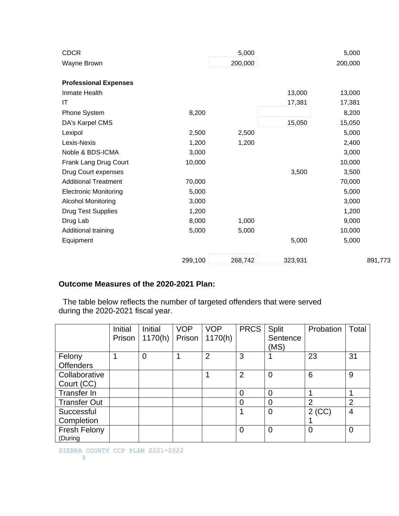| <b>CDCR</b>                  |         | 5,000   |         | 5,000   |         |
|------------------------------|---------|---------|---------|---------|---------|
| Wayne Brown                  |         | 200,000 |         | 200,000 |         |
| <b>Professional Expenses</b> |         |         |         |         |         |
| Inmate Health                |         |         | 13,000  | 13,000  |         |
| IT                           |         |         | 17,381  | 17,381  |         |
| Phone System                 | 8,200   |         |         | 8,200   |         |
| DA's Karpel CMS              |         |         | 15,050  | 15,050  |         |
| Lexipol                      | 2,500   | 2,500   |         | 5,000   |         |
| Lexis-Nexis                  | 1,200   | 1,200   |         | 2,400   |         |
| Noble & BDS-ICMA             | 3,000   |         |         | 3,000   |         |
| Frank Lang Drug Court        | 10,000  |         |         | 10,000  |         |
| Drug Court expenses          |         |         | 3,500   | 3,500   |         |
| <b>Additional Treatment</b>  | 70,000  |         |         | 70,000  |         |
| <b>Electronic Monitoring</b> | 5,000   |         |         | 5,000   |         |
| <b>Alcohol Monitoring</b>    | 3,000   |         |         | 3,000   |         |
| <b>Drug Test Supplies</b>    | 1,200   |         |         | 1,200   |         |
| Drug Lab                     | 8,000   | 1,000   |         | 9,000   |         |
| Additional training          | 5,000   | 5,000   |         | 10,000  |         |
| Equipment                    |         |         | 5,000   | 5,000   |         |
|                              | 299,100 | 268,742 | 323,931 |         | 891,773 |

## **Outcome Measures of the 2020-2021 Plan:**

The table below reflects the number of targeted offenders that were served during the 2020-2021 fiscal year.

|                     | Initial | Initial | <b>VOP</b> | <b>VOP</b>     | <b>PRCS</b>    | Split          | Probation      | Total          |
|---------------------|---------|---------|------------|----------------|----------------|----------------|----------------|----------------|
|                     | Prison  | 1170(h) | Prison     | 1170(h)        |                | Sentence       |                |                |
|                     |         |         |            |                |                | (MS)           |                |                |
| Felony              |         | 0       |            | $\overline{2}$ | 3              |                | 23             | 31             |
| <b>Offenders</b>    |         |         |            |                |                |                |                |                |
| Collaborative       |         |         |            |                | $\overline{2}$ | 0              | 6              | 9              |
| Court (CC)          |         |         |            |                |                |                |                |                |
| Transfer In         |         |         |            |                | $\overline{0}$ | $\Omega$       |                |                |
| <b>Transfer Out</b> |         |         |            |                | $\overline{0}$ | $\overline{0}$ | $\overline{2}$ | $\overline{2}$ |
| Successful          |         |         |            |                | 1              | 0              | $2$ (CC)       | $\overline{4}$ |
| Completion          |         |         |            |                |                |                |                |                |
| <b>Fresh Felony</b> |         |         |            |                | 0              | 0              | $\overline{0}$ | 0              |
| (During             |         |         |            |                |                |                |                |                |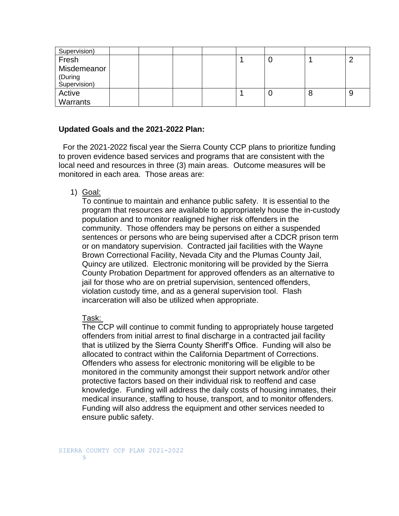| Supervision) |  |  |   |   |   |
|--------------|--|--|---|---|---|
| Fresh        |  |  | J |   |   |
| Misdemeanor  |  |  |   |   |   |
| (During      |  |  |   |   |   |
| Supervision) |  |  |   |   |   |
| Active       |  |  |   | 8 | 9 |
| Warrants     |  |  |   |   |   |

#### **Updated Goals and the 2021-2022 Plan:**

 For the 2021-2022 fiscal year the Sierra County CCP plans to prioritize funding to proven evidence based services and programs that are consistent with the local need and resources in three (3) main areas. Outcome measures will be monitored in each area. Those areas are:

1) Goal:

To continue to maintain and enhance public safety. It is essential to the program that resources are available to appropriately house the in-custody population and to monitor realigned higher risk offenders in the community. Those offenders may be persons on either a suspended sentences or persons who are being supervised after a CDCR prison term or on mandatory supervision. Contracted jail facilities with the Wayne Brown Correctional Facility, Nevada City and the Plumas County Jail, Quincy are utilized. Electronic monitoring will be provided by the Sierra County Probation Department for approved offenders as an alternative to jail for those who are on pretrial supervision, sentenced offenders, violation custody time, and as a general supervision tool. Flash incarceration will also be utilized when appropriate.

#### Task:

The CCP will continue to commit funding to appropriately house targeted offenders from initial arrest to final discharge in a contracted jail facility that is utilized by the Sierra County Sheriff's Office. Funding will also be allocated to contract within the California Department of Corrections. Offenders who assess for electronic monitoring will be eligible to be monitored in the community amongst their support network and/or other protective factors based on their individual risk to reoffend and case knowledge. Funding will address the daily costs of housing inmates, their medical insurance, staffing to house, transport, and to monitor offenders. Funding will also address the equipment and other services needed to ensure public safety.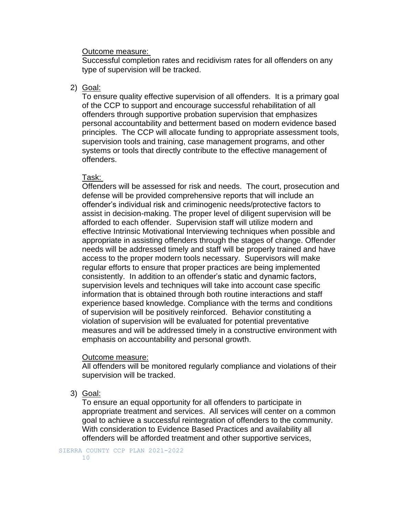#### Outcome measure:

Successful completion rates and recidivism rates for all offenders on any type of supervision will be tracked.

#### 2) Goal:

To ensure quality effective supervision of all offenders. It is a primary goal of the CCP to support and encourage successful rehabilitation of all offenders through supportive probation supervision that emphasizes personal accountability and betterment based on modern evidence based principles. The CCP will allocate funding to appropriate assessment tools, supervision tools and training, case management programs, and other systems or tools that directly contribute to the effective management of offenders.

#### Task:

Offenders will be assessed for risk and needs. The court, prosecution and defense will be provided comprehensive reports that will include an offender's individual risk and criminogenic needs/protective factors to assist in decision-making. The proper level of diligent supervision will be afforded to each offender. Supervision staff will utilize modern and effective Intrinsic Motivational Interviewing techniques when possible and appropriate in assisting offenders through the stages of change. Offender needs will be addressed timely and staff will be properly trained and have access to the proper modern tools necessary. Supervisors will make regular efforts to ensure that proper practices are being implemented consistently. In addition to an offender's static and dynamic factors, supervision levels and techniques will take into account case specific information that is obtained through both routine interactions and staff experience based knowledge. Compliance with the terms and conditions of supervision will be positively reinforced. Behavior constituting a violation of supervision will be evaluated for potential preventative measures and will be addressed timely in a constructive environment with emphasis on accountability and personal growth.

#### Outcome measure:

All offenders will be monitored regularly compliance and violations of their supervision will be tracked.

3) Goal:

To ensure an equal opportunity for all offenders to participate in appropriate treatment and services. All services will center on a common goal to achieve a successful reintegration of offenders to the community. With consideration to Evidence Based Practices and availability all offenders will be afforded treatment and other supportive services,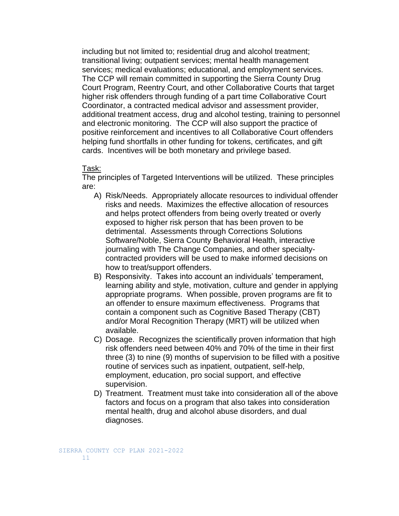including but not limited to; residential drug and alcohol treatment; transitional living; outpatient services; mental health management services; medical evaluations; educational, and employment services. The CCP will remain committed in supporting the Sierra County Drug Court Program, Reentry Court, and other Collaborative Courts that target higher risk offenders through funding of a part time Collaborative Court Coordinator, a contracted medical advisor and assessment provider, additional treatment access, drug and alcohol testing, training to personnel and electronic monitoring. The CCP will also support the practice of positive reinforcement and incentives to all Collaborative Court offenders helping fund shortfalls in other funding for tokens, certificates, and gift cards. Incentives will be both monetary and privilege based.

#### Task:

The principles of Targeted Interventions will be utilized. These principles are:

- A) Risk/Needs. Appropriately allocate resources to individual offender risks and needs. Maximizes the effective allocation of resources and helps protect offenders from being overly treated or overly exposed to higher risk person that has been proven to be detrimental. Assessments through Corrections Solutions Software/Noble, Sierra County Behavioral Health, interactive journaling with The Change Companies, and other specialtycontracted providers will be used to make informed decisions on how to treat/support offenders.
- B) Responsivity. Takes into account an individuals' temperament, learning ability and style, motivation, culture and gender in applying appropriate programs. When possible, proven programs are fit to an offender to ensure maximum effectiveness. Programs that contain a component such as Cognitive Based Therapy (CBT) and/or Moral Recognition Therapy (MRT) will be utilized when available.
- C) Dosage. Recognizes the scientifically proven information that high risk offenders need between 40% and 70% of the time in their first three (3) to nine (9) months of supervision to be filled with a positive routine of services such as inpatient, outpatient, self-help, employment, education, pro social support, and effective supervision.
- D) Treatment. Treatment must take into consideration all of the above factors and focus on a program that also takes into consideration mental health, drug and alcohol abuse disorders, and dual diagnoses.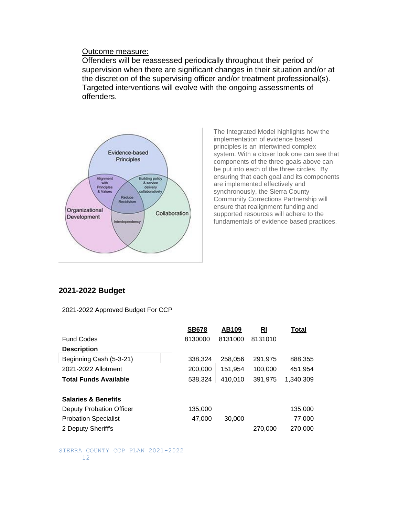#### Outcome measure:

Offenders will be reassessed periodically throughout their period of supervision when there are significant changes in their situation and/or at the discretion of the supervising officer and/or treatment professional(s). Targeted interventions will evolve with the ongoing assessments of offenders.



The Integrated Model highlights how the implementation of evidence based principles is an intertwined complex system. With a closer look one can see that components of the three goals above can be put into each of the three circles. By ensuring that each goal and its components are implemented effectively and synchronously, the Sierra County Community Corrections Partnership will ensure that realignment funding and supported resources will adhere to the fundamentals of evidence based practices.

#### **2021-2022 Budget**

2021-2022 Approved Budget For CCP

|                                 | <b>SB678</b> | AB109   | RI      | Total     |
|---------------------------------|--------------|---------|---------|-----------|
| <b>Fund Codes</b>               | 8130000      | 8131000 | 8131010 |           |
| <b>Description</b>              |              |         |         |           |
| Beginning Cash (5-3-21)         | 338,324      | 258,056 | 291,975 | 888,355   |
| 2021-2022 Allotment             | 200,000      | 151,954 | 100,000 | 451,954   |
| <b>Total Funds Available</b>    | 538,324      | 410,010 | 391,975 | 1.340.309 |
|                                 |              |         |         |           |
| <b>Salaries &amp; Benefits</b>  |              |         |         |           |
| <b>Deputy Probation Officer</b> | 135,000      |         |         | 135,000   |
| <b>Probation Specialist</b>     | 47,000       | 30,000  |         | 77,000    |
| 2 Deputy Sheriff's              |              |         | 270,000 | 270,000   |
|                                 |              |         |         |           |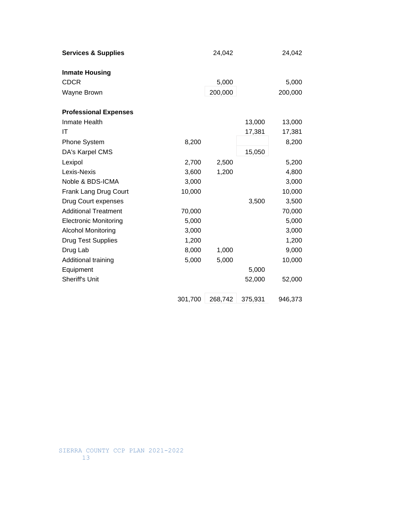| <b>Services &amp; Supplies</b> |         | 24,042  |         | 24,042  |
|--------------------------------|---------|---------|---------|---------|
| <b>Inmate Housing</b>          |         |         |         |         |
| <b>CDCR</b>                    |         | 5,000   |         | 5,000   |
| Wayne Brown                    |         | 200,000 |         | 200,000 |
| <b>Professional Expenses</b>   |         |         |         |         |
| Inmate Health                  |         |         | 13,000  | 13,000  |
| IT                             |         |         | 17,381  | 17,381  |
| <b>Phone System</b>            | 8,200   |         |         | 8,200   |
| DA's Karpel CMS                |         |         | 15,050  |         |
| Lexipol                        | 2,700   | 2,500   |         | 5,200   |
| Lexis-Nexis                    | 3,600   | 1,200   |         | 4,800   |
| Noble & BDS-ICMA               | 3,000   |         |         | 3,000   |
| Frank Lang Drug Court          | 10,000  |         |         | 10,000  |
| Drug Court expenses            |         |         | 3,500   | 3,500   |
| <b>Additional Treatment</b>    | 70,000  |         |         | 70,000  |
| <b>Electronic Monitoring</b>   | 5,000   |         |         | 5,000   |
| <b>Alcohol Monitoring</b>      | 3,000   |         |         | 3,000   |
| <b>Drug Test Supplies</b>      | 1,200   |         |         | 1,200   |
| Drug Lab                       | 8,000   | 1,000   |         | 9,000   |
| Additional training            | 5,000   | 5,000   |         | 10,000  |
| Equipment                      |         |         | 5,000   |         |
| <b>Sheriff's Unit</b>          |         |         | 52,000  | 52,000  |
|                                | 301,700 | 268,742 | 375,931 | 946,373 |